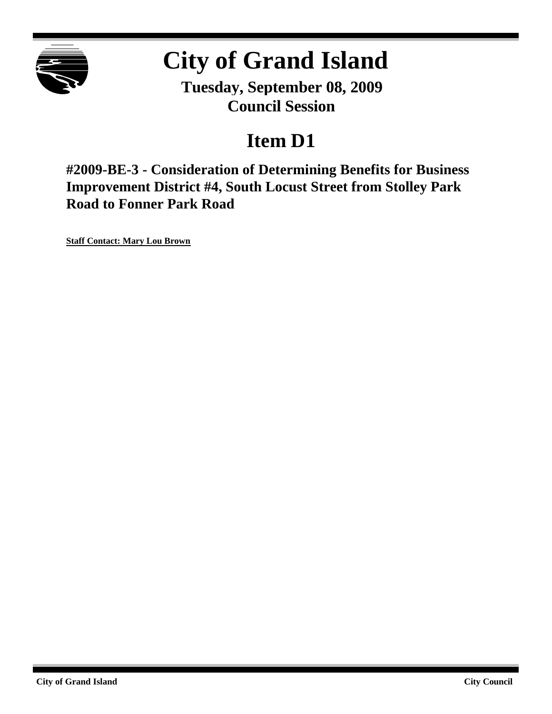

# **City of Grand Island**

**Tuesday, September 08, 2009 Council Session**

## **Item D1**

**#2009-BE-3 - Consideration of Determining Benefits for Business Improvement District #4, South Locust Street from Stolley Park Road to Fonner Park Road**

**Staff Contact: Mary Lou Brown**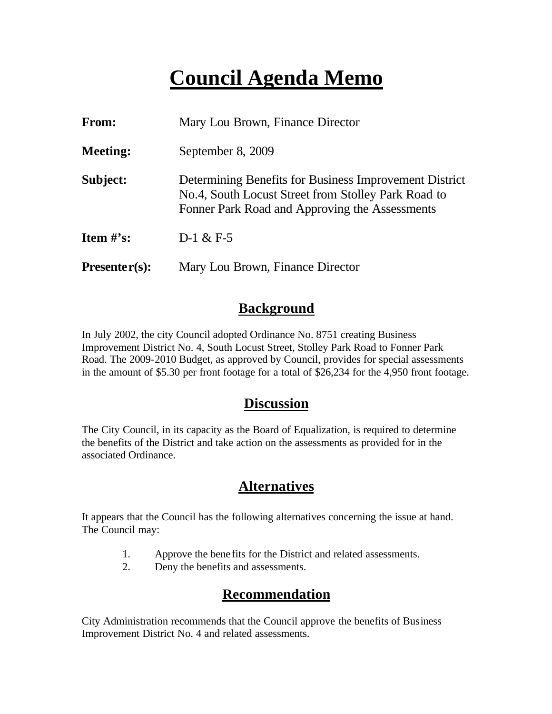## **Council Agenda Memo**

| From:                          | Mary Lou Brown, Finance Director                                                                                                                                |  |
|--------------------------------|-----------------------------------------------------------------------------------------------------------------------------------------------------------------|--|
| <b>Meeting:</b>                | September 8, 2009                                                                                                                                               |  |
| Subject:                       | Determining Benefits for Business Improvement District<br>No.4, South Locust Street from Stolley Park Road to<br>Fonner Park Road and Approving the Assessments |  |
| <b>Item <math>\#</math>'s:</b> | $D-1 & E-5$                                                                                                                                                     |  |
| $Presenter(s):$                | Mary Lou Brown, Finance Director                                                                                                                                |  |

#### **Background**

In July 2002, the city Council adopted Ordinance No. 8751 creating Business Improvement District No. 4, South Locust Street, Stolley Park Road to Fonner Park Road. The 2009-2010 Budget, as approved by Council, provides for special assessments in the amount of \$5.30 per front footage for a total of \$26,234 for the 4,950 front footage.

#### **Discussion**

The City Council, in its capacity as the Board of Equalization, is required to determine the benefits of the District and take action on the assessments as provided for in the associated Ordinance.

### **Alternatives**

It appears that the Council has the following alternatives concerning the issue at hand. The Council may:

- 1. Approve the bene fits for the District and related assessments.
- 2. Deny the benefits and assessments.

### **Recommendation**

City Administration recommends that the Council approve the benefits of Business Improvement District No. 4 and related assessments.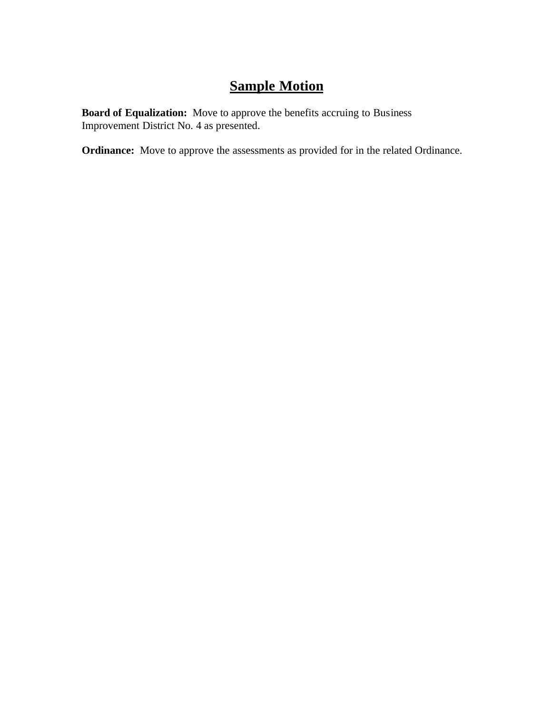## **Sample Motion**

**Board of Equalization:** Move to approve the benefits accruing to Business Improvement District No. 4 as presented.

**Ordinance:** Move to approve the assessments as provided for in the related Ordinance.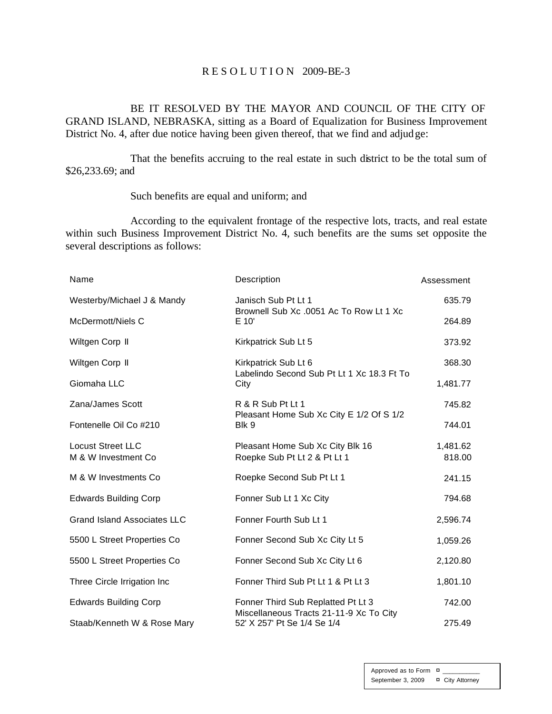#### R E S O L U T I O N 2009-BE-3

BE IT RESOLVED BY THE MAYOR AND COUNCIL OF THE CITY OF GRAND ISLAND, NEBRASKA, sitting as a Board of Equalization for Business Improvement District No. 4, after due notice having been given thereof, that we find and adjudge:

That the benefits accruing to the real estate in such district to be the total sum of \$26,233.69; and

#### Such benefits are equal and uniform; and

According to the equivalent frontage of the respective lots, tracts, and real estate within such Business Improvement District No. 4, such benefits are the sums set opposite the several descriptions as follows:

| Name                                            | Description                                                            | Assessment         |
|-------------------------------------------------|------------------------------------------------------------------------|--------------------|
| Westerby/Michael J & Mandy                      | Janisch Sub Pt Lt 1                                                    | 635.79             |
| McDermott/Niels C                               | Brownell Sub Xc .0051 Ac To Row Lt 1 Xc<br>E 10'                       | 264.89             |
| Wiltgen Corp II                                 | Kirkpatrick Sub Lt 5                                                   | 373.92             |
| Wiltgen Corp II                                 | Kirkpatrick Sub Lt 6                                                   | 368.30             |
| Giomaha LLC                                     | Labelindo Second Sub Pt Lt 1 Xc 18.3 Ft To<br>City                     | 1,481.77           |
| Zana/James Scott                                | R & R Sub Pt Lt 1<br>Pleasant Home Sub Xc City E 1/2 Of S 1/2          | 745.82             |
| Fontenelle Oil Co #210                          | Blk 9                                                                  | 744.01             |
| <b>Locust Street LLC</b><br>M & W Investment Co | Pleasant Home Sub Xc City Blk 16<br>Roepke Sub Pt Lt 2 & Pt Lt 1       | 1,481.62<br>818.00 |
| M & W Investments Co                            | Roepke Second Sub Pt Lt 1                                              | 241.15             |
| <b>Edwards Building Corp</b>                    | Fonner Sub Lt 1 Xc City                                                | 794.68             |
| <b>Grand Island Associates LLC</b>              | Fonner Fourth Sub Lt 1                                                 | 2,596.74           |
| 5500 L Street Properties Co                     | Fonner Second Sub Xc City Lt 5                                         | 1,059.26           |
| 5500 L Street Properties Co                     | Fonner Second Sub Xc City Lt 6                                         | 2,120.80           |
| Three Circle Irrigation Inc                     | Fonner Third Sub Pt Lt 1 & Pt Lt 3                                     | 1,801.10           |
| <b>Edwards Building Corp</b>                    | Fonner Third Sub Replatted Pt Lt 3                                     | 742.00             |
| Staab/Kenneth W & Rose Mary                     | Miscellaneous Tracts 21-11-9 Xc To City<br>52' X 257' Pt Se 1/4 Se 1/4 | 275.49             |